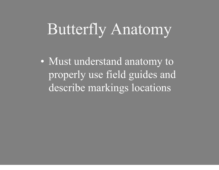# Butterfly Anatomy

 $\bigodot$  Must understand anatomy to properly use field guides and describe markings locations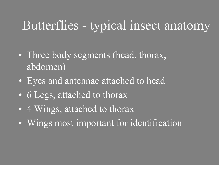#### Butterflies - typical insect anatomy

- $\bigodot$  Three body segments (head, thorax, abdomen)
- $\bigodot$ Eyes and antennae attached to head
- $\bigodot$ 6 Legs, attached to thorax
- $\bigodot$ 4 Wings, attached to thorax
- $\bigodot$ Wings most important for identification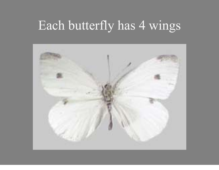#### Each butterfly has 4 wings

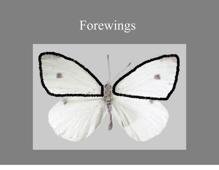### Forewings

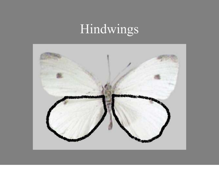## Hindwings

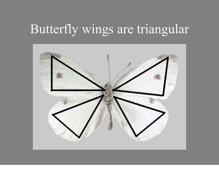#### Butterfly wings are triangular

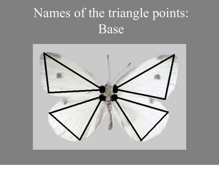### Names of the triangle points: Base

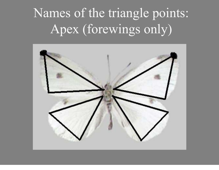## Names of the triangle points: Apex (forewings only)

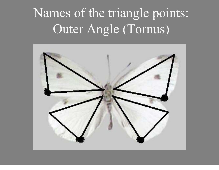## Names of the triangle points: Outer Angle (Tornus)

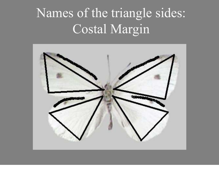## Names of the triangle sides: Costal Margin

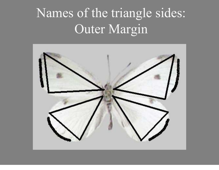## Names of the triangle sides: Outer Margin

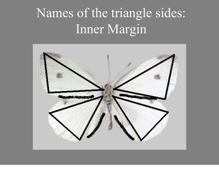## Names of the triangle sides: Inner Margin

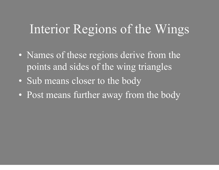#### Interior Regions of the Wings

- $\bigodot$  Names of these regions derive from the points and sides of the wing triangles
- $\bigodot$ Sub means closer to the body
- $\bigodot$ Post means further away from the body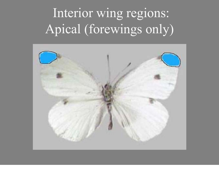## Interior wing regions: Apical (forewings only)

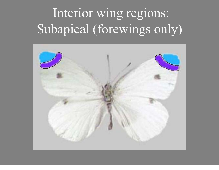## Interior wing regions: Subapical (forewings only)

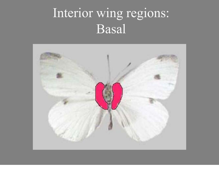### Interior wing regions: Basal

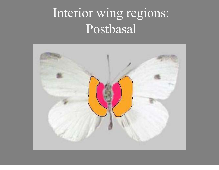### Interior wing regions: Postbasal

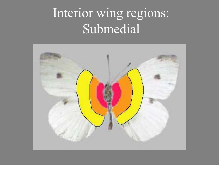### Interior wing regions: Submedial

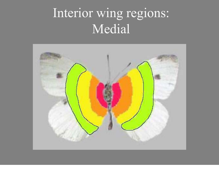### Interior wing regions: Medial

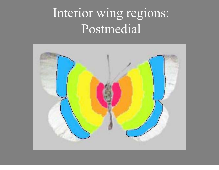### Interior wing regions: Postmedial

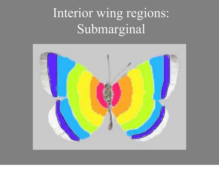## Interior wing regions: Submarginal

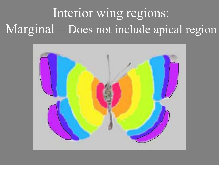## Interior wing regions: Marginal – Does not include apical region

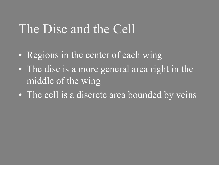#### The Disc and the Cell

- $\bigodot$ Regions in the center of each wing
- $\mathbf C$  The disc is a more general area right in the middle of the wing
- $\bigodot$ The cell is a discrete area bounded by veins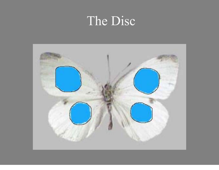#### The Disc